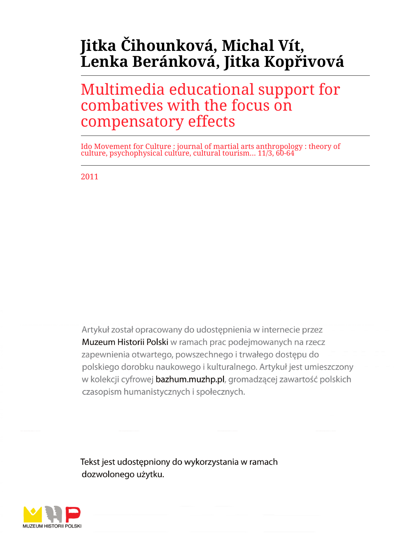# **Jitka Čihounková, Michal Vít, Lenka Beránková, Jitka Kopřivová**

Multimedia educational support for combatives with the focus on compensatory effects

Ido Movement for Culture : journal of martial arts anthropology : theory of culture, psychophysical culture, cultural tourism... 11/3, 60-64

2011

Artykuł został opracowany do udostepnienia w internecie przez Muzeum Historii Polski w ramach prac podejmowanych na rzecz zapewnienia otwartego, powszechnego i trwałego dostępu do polskiego dorobku naukowego i kulturalnego. Artykuł jest umieszczony w kolekcji cyfrowej bazhum.muzhp.pl, gromadzącej zawartość polskich czasopism humanistycznych i społecznych.

Tekst jest udostępniony do wykorzystania w ramach dozwolonego użytku.

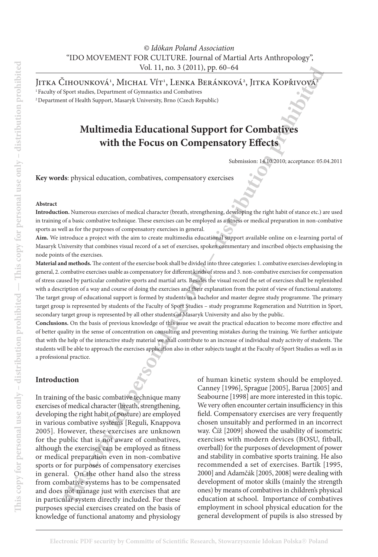Jitka Čihounková<sup>1</sup>, Michal Vít<sup>1</sup>, Lenka Beránková<sup>2</sup>, Jitka Kopřivová<sup>2</sup>

1 Faculty of Sport studies, Department of Gymnastics and Combatives

2 Department of Health Support, Masaryk University, Brno (Czech Republic)

# **Multimedia Educational Support for Combatives with the Focus on Compensatory Effects**

Submission: 14.10.2010; acceptance: 05.04.2011

**Key words**: physical education, combatives, compensatory exercises

#### **Abstract**

**Introduction.** Numerous exercises of medical character (breath, strengthening, developing the right habit of stance etc.) are used in training of a basic combative technique. These exercises can be employed as a fitness or medical preparation in non-combative sports as well as for the purposes of compensatory exercises in general.

**Aim.** We introduce a project with the aim to create multimedia educational support available online on e-learning portal of Masaryk University that combines visual record of a set of exercises, spoken commentary and inscribed objects emphasising the node points of the exercises.

**Material and methods.** The content of the exercise book shall be divided into three categories: 1. combative exercises developing in general, 2. combative exercises usable as compensatory for different kinds of stress and 3. non-combative exercises for compensation of stress caused by particular combative sports and martial arts. Besides the visual record the set of exercises shall be replenished with a description of a way and course of doing the exercises and their explanation from the point of view of functional anatomy. The target group of educational support is formed by students in a bachelor and master degree study programme. The primary target group is represented by students of the Faculty of Sport Studies – study programme Regeneration and Nutrition in Sport, secondary target group is represented by all other students of Masaryk University and also by the public.

**Conclusions.** On the basis of previous knowledge of this issue we await the practical education to become more effective and of better quality in the sense of concentration on consulting and preventing mistakes during the training. We further anticipate that with the help of the interactive study material we shall contribute to an increase of individual study activity of students. The students will be able to approach the exercises application also in other subjects taught at the Faculty of Sport Studies as well as in a professional practice.

#### **Introduction**

In training of the basic combative technique many exercises of medical character (breath, strengthening, developing the right habit of posture) are employed in various combative systems [Reguli, Knappova 2005]. However, these exercises are unknown for the public that is not aware of combatives, although the exercises can be employed as fitness or medical preparation even in non-combative sports or for purposes of compensatory exercises in general. On the other hand also the stress from combative systems has to be compensated and does not manage just with exercises that are in particular system directly included. For these purposes special exercises created on the basis of knowledge of functional anatomy and physiology

**This constrained the control in the set of the control in the set of the set of the set of the set of the set of the set of the set of the set of the set of the set of the set of the set of the set of the set of the set** of human kinetic system should be employed. Canney [1996], Sprague [2005], Barua [2005] and Seabourne [1998] are more interested in this topic. We very often encounter certain insufficiency in this field. Compensatory exercises are very frequently chosen unsuitably and performed in an incorrect way. Číž [2009] showed the usability of isometric exercises with modern devices (BOSU, fitball, overball) for the purposes of development of power and stability in combative sports training. He also recommended a set of exercises. Bartík [1995, 2000] and Adamčák [2005, 2008] were dealing with development of motor skills (mainly the strength ones) by means of combatives in children's physical education at school. Importance of combatives employment in school physical education for the general development of pupils is also stressed by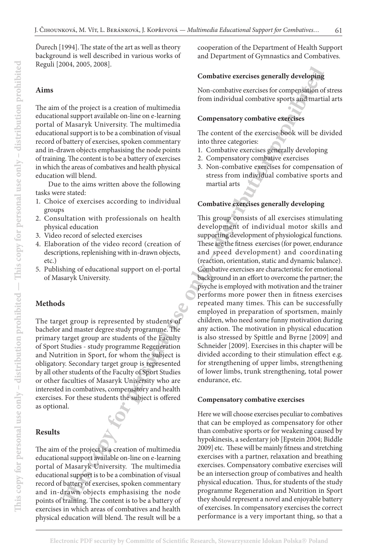Ďurech [1994]. The state of the art as well as theory background is well described in various works of Reguli [2004, 2005, 2008].

# **Aims**

The aim of the project is a creation of multimedia educational support available on-line on e-learning portal of Masaryk University. The multimedia educational support is to be a combination of visual record of battery of exercises, spoken commentary and in-drawn objects emphasising the node points of training. The content is to be a battery of exercises in which the areas of combatives and health physical education will blend.

Due to the aims written above the following tasks were stated:

- 1. Choice of exercises according to individual groups
- 2. Consultation with professionals on health physical education
- 3. Video record of selected exercises
- 4. Elaboration of the video record (creation of descriptions, replenishing with in-drawn objects, etc.)
- 5. Publishing of educational support on el-portal of Masaryk University.

# **Methods**

The target group is represented by students of bachelor and master degree study programme. The primary target group are students of the Faculty of Sport Studies - study programme Regeneration and Nutrition in Sport, for whom the subject is obligatory. Secondary target group is represented by all other students of the Faculty of Sport Studies or other faculties of Masaryk University who are interested in combatives, compensatory and health exercises. For these students the subject is offered as optional.

# **Results**

The aim of the project is a creation of multimedia educational support available on-line on e-learning portal of Masaryk University. The multimedia educational support is to be a combination of visual record of battery of exercises, spoken commentary and in-drawn objects emphasising the node points of training. The content is to be a battery of exercises in which areas of combatives and health physical education will blend. The result will be a

cooperation of the Department of Health Support and Department of Gymnastics and Combatives.

## **Combative exercises generally developing**

Non-combative exercises for compensation of stress from individual combative sports and martial arts

## **Compensatory combative exercises**

The content of the exercise book will be divided into three categories:

- 1. Combative exercises generally developing
- 2. Compensatory combative exercises
- 3. Non-combative exercises for compensation of stress from individual combative sports and martial arts

#### **Combative exercises generally developing**

**The species the conductive excrise generally developing<br>
for the project is a creation of multimedia<br>
if mon individual considers of recomposition of the multimedia<br>
all support is valid to the constraining compensatory c** This group consists of all exercises stimulating development of individual motor skills and supporting development of physiological functions. These are the fitness exercises (for power, endurance and speed development) and coordinating (reaction, orientation, static and dynamic balance). Combative exercises are characteristic for emotional background in an effort to overcome the partner; the psyche is employed with motivation and the trainer performs more power then in fitness exercises repeated many times. This can be successfully employed in preparation of sportsmen, mainly children, who need some funny motivation during any action. The motivation in physical education is also stressed by Spittle and Byrne [2009] and Schneider [2009]. Exercises in this chapter will be divided according to their stimulation effect e.g. for strengthening of upper limbs, strengthening of lower limbs, trunk strengthening, total power endurance, etc.

#### **Compensatory combative exercises**

Here we will choose exercises peculiar to combatives that can be employed as compensatory for other than combative sports or for weakening caused by hypokinesis, a sedentary job [Epstein 2004; Biddle 2009] etc. These will be mainly fitness and stretching exercises with a partner, relaxation and breathing exercises. Compensatory combative exercises will be an intersection group of combatives and health physical education. Thus, for students of the study programme Regeneration and Nutrition in Sport they should represent a novel and enjoyable battery of exercises. In compensatory exercises the correct performance is a very important thing, so that a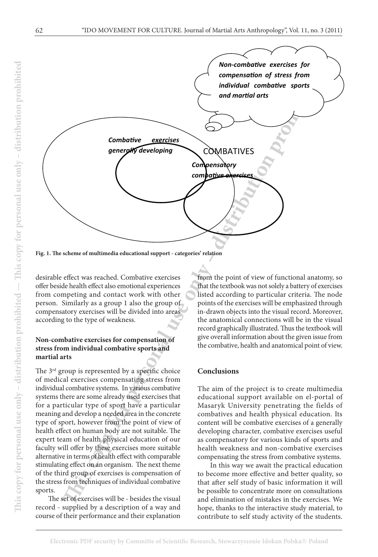

**Fig. 1. The scheme of multimedia educational support - categories' relation**

desirable effect was reached. Combative exercises offer beside health effect also emotional experiences from competing and contact work with other person. Similarly as a group 1 also the group of compensatory exercises will be divided into areas according to the type of weakness.

#### **Non-combative exercises for compensation of stress from individual combative sports and martial arts**

The 3<sup>rd</sup> group is represented by a specific choice of medical exercises compensating stress from individual combative systems. In various combative systems there are some already used exercises that for a particular type of sport have a particular meaning and develop a needed area in the concrete type of sport, however from the point of view of health effect on human body are not suitable. The expert team of health physical education of our faculty will offer by these exercises more suitable alternative in terms of health effect with comparable stimulating effect on an organism. The next theme of the third group of exercises is compensation of the stress from techniques of individual combative sports.

The set of exercises will be - besides the visual record - supplied by a description of a way and course of their performance and their explanation from the point of view of functional anatomy, so that the textbook was not solely a battery of exercises listed according to particular criteria. The node points of the exercises will be emphasized through in-drawn objects into the visual record. Moreover, the anatomical connections will be in the visual record graphically illustrated. Thus the textbook will give overall information about the given issue from the combative, health and anatomical point of view.

#### **Conclusions**

The aim of the project is to create multimedia educational support available on el-portal of Masaryk University penetrating the fields of combatives and health physical education. Its content will be combative exercises of a generally developing character, combative exercises useful as compensatory for various kinds of sports and health weakness and non-combative exercises compensating the stress from combative systems.

In this way we await the practical education to become more effective and better quality, so that after self study of basic information it will be possible to concentrate more on consultations and elimination of mistakes in the exercises. We hope, thanks to the interactive study material, to contribute to self study activity of the students.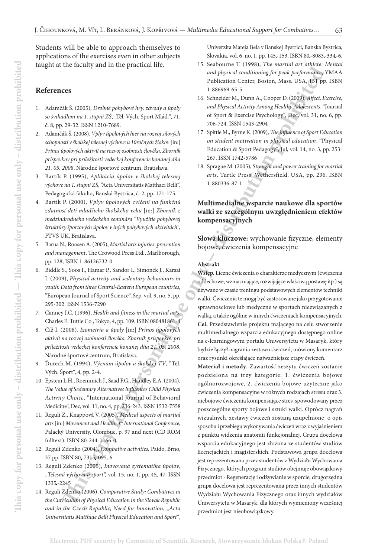Students will be able to approach themselves to applications of the exercises even in other subjects taught at the faculty and in the practical life.

#### **References**

- 1. Adamčák Š. (2005), *Drobné pohybové hry, závody a úpoly*  so švihadlom na 1. stupni ZŠ, "Těl. Vých. Sport Mlád.", 71, č. 8, pp. 29-32. ISSN 1210-7689.
- 2. Adamčák Š. (2008), *Vplyv úpolových hier na rozvoj silových schopností v školskej telesnej výchove u 10ročných žiakov* [in:] *Prínos úpolových aktivít na rozvoj osobnosti člověka. Zborník príspevkov pri príležitosti vedeckej konferencie konanej dňa 21. 05. 2008*, Národné športové centrum, Bratislava.
- 3. Bartík P. (1995), *Aplikácia úpolov v školskej telesnej výchove na 1. stupni ZŠ*, "Acta Universitatis Matthaei Belli", Pedagogická fakulta, Banská Bystrica, č. 2, pp. 171-175.
- 4. Bartík P. (2000), *Vplyv úpolových cvičení na funkčnú zdatnosť detí mladšieho školského veku* [in:] *Zborník z medzinárodného vedeckého seminára "Využitie pohybovej štruktúry športových úpolov v iných pohybových aktivitách",* FTVŠ UK, Bratislava.
- 5. Barua N., Roosen A. (2005), *Martial arts injuries: prevention and management*, The Crowood Press Ltd., Marlborough, pp. 128, ISBN 1-86126732-0
- 6. Biddle S., Soos I., Hamar P., Sandor I., Simonek J., Karsai I. (2009), *Physical activity and sedentary behaviours in youth: Data from three Central-Eastern European countries*, "European Journal of Sport Science", Sep, vol. 9, no. 5, pp. 295-302. ISSN 1536-7290
- 7. Canney J.C. (1996), *Health and fitness in the martial arts*, Charles E. Tuttle Co., Tokyo, 4, pp. 109. ISBN 080481861-4
- 8. Číž I. (2008), *Izometria a úpoly* [in:] *Prínos úpolových aktivít na rozvoj osobnosti člověka. Zborník príspevkov pri príležitosti vedeckej konferencie konanej dňa 21. 05. 2008*, Národné športové centrum, Bratislava.
- 9. Ďurech M. (1994), *Význam úpolov a školskej TV*, "Tel. Vých. Šport", 4, pp. 2-4.
- 10. Epstein L.H., Roemmich J., Saad F.G., Handley E.A. (2004), *The Value of Sedentary Alternatives Influences Child Physical Activity Choice*, "International Journal of Behavioral Medicine", Dec, vol. 11, no. 4, pp. 236-243. ISSN 1532-7558
- 11. Reguli Z., Knappová V. (2005), *Medical aspects of martial arts* [in:] *Movement and Health: 4th International Conference*, Palacký University, Olomouc, p. 97 and next (CD ROM fulltext). ISBN 80-244-1166-0.
- 12. Reguli Zdenko (2004), *Combative activities,* Paido, Brno, 37 pp. ISBN 80 -7315 -095 -6.
- 13. Reguli Zdenko (2005), *Inovovaná systematika úpolov*, "Telesná výchova a sport", vol. 15, no. 1, pp. 45-47. ISSN 1335 -2245
- 14. Reguli Zdenko (2006), *Comparative Study: Combatives in the Curriculum of Physical Education in the Slovak Republic and in the Czech Republic; Need for Innovation, "Acta Universitatis Matthiae Belli Physical Education and Sport"*,

Univerzita Mateja Bela v Banskej Bystrici, Banská Bystrica, Slovakia. vol. 6, no. 1, pp. 145-153. ISBN 80-8083-334 -6.

- 15. Seabourne T. (1998), *The martial art athlete: Mental and physical conditioning for peak performance*, YMAA Publication Center, Boston, Mass. USA, 151 pp. ISBN 1-886969-65-5
- 16. Schneider M., Dunn A., Cooper D. (2009), *Affect, Exercise, and Physical Activity Among Healthy Adolescents*, "Journal of Sport & Exercise Psychology", Dec, vol. 31, no. 6, pp. 706-724. ISSN 1543-2904
- 17. Spittle M., Byrne K. (2009), *The influence of Sport Education on student motivation in physical education*, "Physical Education & Sport Pedagogy", Jul, vol. 14, no. 3, pp. 253- 267. ISSN 1742-5786
- 18. Sprague M. (2005), *Strenght and power training for martial arts*, Turtle Press, Wethersfield, USA, pp. 236. ISBN 1-880336-87-1

# **Multimedialne wsparcie naukowe dla sportów walki ze szczególnym uwzględnieniem efektów kompensacyjnych**

**Słowa kluczowe:** wychowanie fizyczne, elementy bojowe, ćwiczenia kompensacyjne

#### **Abstrakt**

**Wstęp.** Liczne ćwiczenia o charakterze medycznym (ćwiczenia oddechowe, wzmacniające, rozwijające właściwą postawę itp.) są używane w czasie treningu podstawowych elementów techniki walki. Ćwiczenia te mogą być zastosowane jako przygotowanie sprawnościowe lub medyczne w sportach niezwiązanych z walką, a także ogólnie w innych ćwiczeniach kompensacyjnych. **Cel.** Przedstawienie projektu mającego na celu stworzenie multimedialnego wsparcia edukacyjnego dostępnego online na e-learningowym portalu Uniwersytetu w Masaryk, który będzie łączył nagrania zestawu ćwiczeń, mówiony komentarz oraz rysunki określające najważniejsze etapy ćwiczeń.

interaction and itens.<br>
This control of the scheme of the scheme of the scheme of the scheme of the scheme of the scheme of the scheme of the scheme of the scheme of the scheme of the scheme of the scheme of the scheme of **Materiał i metody**. Zawartość zeszytu ćwiczeń zostanie podzielona na trzy kategorie: 1. ćwiczenia bojowe ogólnorozwojowe, 2. ćwiczenia bojowe użyteczne jako ćwiczenia kompensacyjne w różnych rodzajach stresu oraz 3. niebojowe ćwiczenia kompensujące stres spowodowany przez poszczególne sporty bojowe i sztuki walki. Oprócz nagrań wizualnych, zestawy ćwiczeń zostaną uzupełnione o opis sposobu i przebiegu wykonywania ćwiczeń wraz z wyjaśnieniem z punktu widzenia anatomii funkcjonalnej. Grupa docelowa wsparcia edukacyjnego jest złożona ze studentów studiów licencjackich i magisterskich. Podstawowa grupa docelowa jest reprezentowana przez studentów z Wydziału Wychowania Fizycznego, których program studiów obejmuje obowiązkowy przedmiot - Regenerację i odżywianie w sporcie, drugorzędna grupa docelowa jest reprezentowana przez innych studentów Wydziału Wychowania Fizycznego oraz innych wydziałów Uniwersytetu w Masaryk, dla których wymieniony wcześniej przedmiot jest nieobowiązkowy.